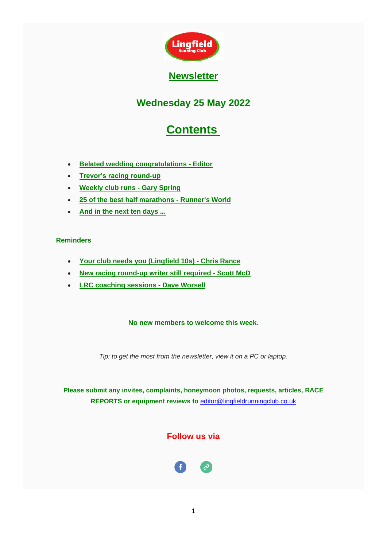

## **Wednesday 25 May 2022**

# **Contents**

- <span id="page-0-0"></span>• **[Belated wedding congratulations -](#page-1-0) Editor**
- **[Trevor's racing round-up](#page-1-1)**
- **[Weekly club runs -](#page-5-0) Gary Spring**
- **[25 of the best half marathons -](#page-7-0) Runner's World**
- **[And in the next ten days ...](#page-7-1)**

### **Reminders**

- **[Your club needs you \(Lingfield 10s\) -](#page-9-0) Chris Rance**
- **[New racing round-up writer still required -](#page-10-0) Scott McD**
- **[LRC coaching sessions -](#page-11-0) Dave Worsell**

#### **No new members to welcome this week.**

*Tip: to get the most from the newsletter, view it on a PC or laptop.*

**Please submit any invites, complaints, honeymoon photos, requests, articles, RACE REPORTS or equipment reviews to** [editor@lingfieldrunningclub.co.uk](mailto:editor@lingfieldrunningclub.co.uk)

## **Follow us via**

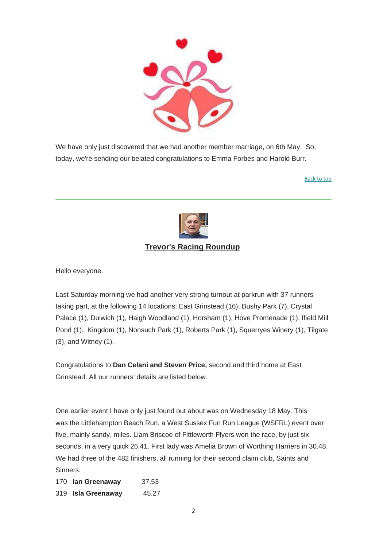

<span id="page-1-0"></span>We have only just discovered that we had another member marriage, on 6th May. So, today, we're sending our belated congratulations to Emma Forbes and Harold Burr.

[Back to top](#page-0-0)



## **Trevor's Racing Roundup**

<span id="page-1-1"></span>Hello everyone.

Last Saturday morning we had another very strong turnout at parkrun with 37 runners taking part, at the following 14 locations: East Grinstead (16), Bushy Park (7), Crystal Palace (1), Dulwich (1), Haigh Woodland (1), Horsham (1), Hove Promenade (1), Ifield Mill Pond (1), Kingdom (1), Nonsuch Park (1), Roberts Park (1), Squerryes Winery (1), Tilgate (3), and Witney (1).

Congratulations to **Dan Celani and Steven Price,** second and third home at East Grinstead. All our runners' details are listed below.

One earlier event I have only just found out about was on Wednesday 18 May. This was the Littlehampton Beach Run, a West Sussex Fun Run League (WSFRL) event over five, mainly sandy, miles. Liam Briscoe of Fittleworth Flyers won the race, by just six seconds, in a very quick 26.41. First lady was Amelia Brown of Worthing Harriers in 30.48. We had three of the 482 finishers, all running for their second claim club, Saints and Sinners.

170 **Ian Greenaway** 37.53 319 **Isla Greenaway** 45.27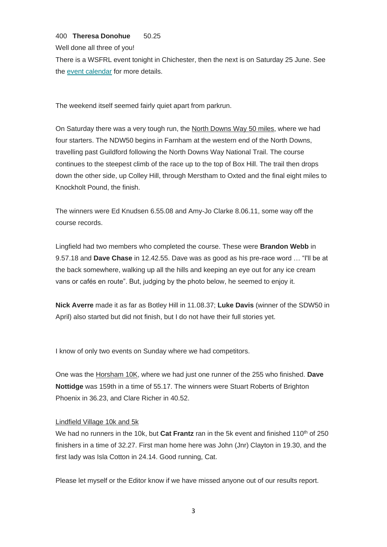#### 400 **Theresa Donohue** 50.25

Well done all three of you!

There is a WSFRL event tonight in Chichester, then the next is on Saturday 25 June. See the [event calendar](https://lingfieldrunningclub.us15.list-manage.com/track/click?u=06ee37595aba77e0e81ded734&id=f53300180a&e=7eacd48f96) for more details.

The weekend itself seemed fairly quiet apart from parkrun.

On Saturday there was a very tough run, the North Downs Way 50 miles, where we had four starters. The NDW50 begins in Farnham at the western end of the North Downs, travelling past Guildford following the North Downs Way National Trail. The course continues to the steepest climb of the race up to the top of Box Hill. The trail then drops down the other side, up Colley Hill, through Merstham to Oxted and the final eight miles to Knockholt Pound, the finish.

The winners were Ed Knudsen 6.55.08 and Amy-Jo Clarke 8.06.11, some way off the course records.

Lingfield had two members who completed the course. These were **Brandon Webb** in 9.57.18 and **Dave Chase** in 12.42.55. Dave was as good as his pre-race word … "I'll be at the back somewhere, walking up all the hills and keeping an eye out for any ice cream vans or cafés en route". But, judging by the photo below, he seemed to enjoy it.

**Nick Averre** made it as far as Botley Hill in 11.08.37; **Luke Davis** (winner of the SDW50 in April) also started but did not finish, but I do not have their full stories yet.

I know of only two events on Sunday where we had competitors.

One was the Horsham 10K, where we had just one runner of the 255 who finished. **Dave Nottidge** was 159th in a time of 55.17. The winners were Stuart Roberts of Brighton Phoenix in 36.23, and Clare Richer in 40.52.

#### Lindfield Village 10k and 5k

We had no runners in the 10k, but **Cat Frantz** ran in the 5k event and finished 110<sup>th</sup> of 250 finishers in a time of 32.27. First man home here was John (Jnr) Clayton in 19.30, and the first lady was Isla Cotton in 24.14. Good running, Cat.

Please let myself or the Editor know if we have missed anyone out of our results report.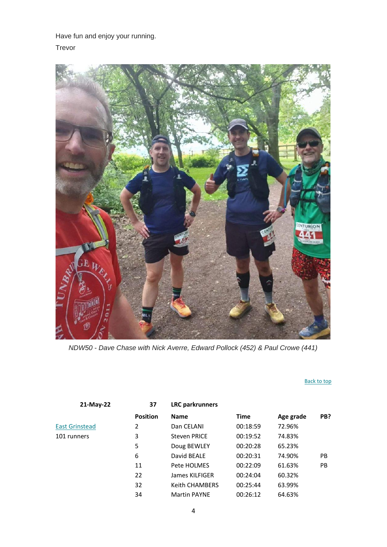Have fun and enjoy your running.

Trevor



*NDW50 - Dave Chase with Nick Averre, Edward Pollock (452) & Paul Crowe (441)*

#### [Back to top](#page-0-0)

| 21-May-22             | 37              | <b>LRC</b> parkrunners |          |           |     |
|-----------------------|-----------------|------------------------|----------|-----------|-----|
|                       | <b>Position</b> | <b>Name</b>            | Time     | Age grade | PB? |
| <b>East Grinstead</b> | 2               | Dan CELANI             | 00:18:59 | 72.96%    |     |
| 101 runners           | 3               | <b>Steven PRICE</b>    | 00:19:52 | 74.83%    |     |
|                       | 5               | Doug BEWLEY            | 00:20:28 | 65.23%    |     |
|                       | 6               | David BEALE            | 00:20:31 | 74.90%    | PB  |
|                       | 11              | Pete HOLMES            | 00:22:09 | 61.63%    | PB  |
|                       | 22              | James KILFIGER         | 00:24:04 | 60.32%    |     |
|                       | 32              | <b>Keith CHAMBERS</b>  | 00:25:44 | 63.99%    |     |
|                       | 34              | <b>Martin PAYNE</b>    | 00:26:12 | 64.63%    |     |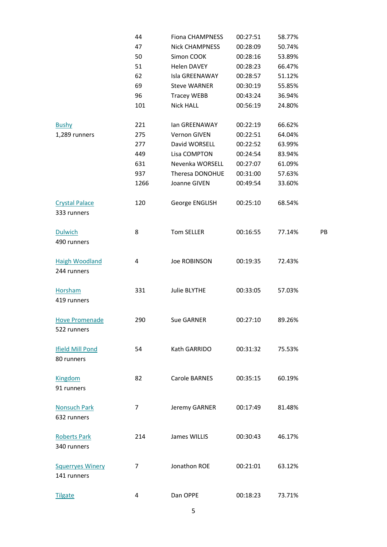|                         | 44   | <b>Fiona CHAMPNESS</b> | 00:27:51 | 58.77% |    |
|-------------------------|------|------------------------|----------|--------|----|
|                         | 47   | <b>Nick CHAMPNESS</b>  | 00:28:09 | 50.74% |    |
|                         | 50   | Simon COOK             | 00:28:16 | 53.89% |    |
|                         | 51   | <b>Helen DAVEY</b>     | 00:28:23 | 66.47% |    |
|                         | 62   | Isla GREENAWAY         | 00:28:57 | 51.12% |    |
|                         | 69   | <b>Steve WARNER</b>    | 00:30:19 | 55.85% |    |
|                         | 96   | <b>Tracey WEBB</b>     | 00:43:24 | 36.94% |    |
|                         | 101  | Nick HALL              | 00:56:19 | 24.80% |    |
|                         |      |                        |          |        |    |
| <b>Bushy</b>            | 221  | lan GREENAWAY          | 00:22:19 | 66.62% |    |
| 1,289 runners           | 275  | Vernon GIVEN           | 00:22:51 | 64.04% |    |
|                         | 277  | David WORSELL          | 00:22:52 | 63.99% |    |
|                         | 449  | Lisa COMPTON           | 00:24:54 | 83.94% |    |
|                         | 631  | Nevenka WORSELL        | 00:27:07 | 61.09% |    |
|                         | 937  | Theresa DONOHUE        | 00:31:00 | 57.63% |    |
|                         | 1266 | Joanne GIVEN           | 00:49:54 | 33.60% |    |
|                         |      |                        |          |        |    |
| <b>Crystal Palace</b>   | 120  | George ENGLISH         | 00:25:10 | 68.54% |    |
| 333 runners             |      |                        |          |        |    |
|                         |      |                        |          |        |    |
| <b>Dulwich</b>          | 8    | Tom SELLER             | 00:16:55 | 77.14% | PB |
| 490 runners             |      |                        |          |        |    |
|                         |      |                        |          |        |    |
| <b>Haigh Woodland</b>   | 4    | <b>Joe ROBINSON</b>    | 00:19:35 | 72.43% |    |
| 244 runners             |      |                        |          |        |    |
|                         |      |                        |          |        |    |
| <b>Horsham</b>          | 331  | Julie BLYTHE           | 00:33:05 | 57.03% |    |
| 419 runners             |      |                        |          |        |    |
|                         |      |                        |          |        |    |
| <b>Hove Promenade</b>   | 290  | <b>Sue GARNER</b>      | 00:27:10 | 89.26% |    |
| 522 runners             |      |                        |          |        |    |
|                         |      |                        |          |        |    |
| <b>Ifield Mill Pond</b> | 54   | Kath GARRIDO           | 00:31:32 | 75.53% |    |
| 80 runners              |      |                        |          |        |    |
|                         |      |                        |          |        |    |
| Kingdom                 | 82   | Carole BARNES          | 00:35:15 | 60.19% |    |
| 91 runners              |      |                        |          |        |    |
|                         |      |                        |          |        |    |
| <b>Nonsuch Park</b>     | 7    | Jeremy GARNER          | 00:17:49 | 81.48% |    |
| 632 runners             |      |                        |          |        |    |
|                         |      |                        |          |        |    |
| <b>Roberts Park</b>     | 214  | James WILLIS           | 00:30:43 | 46.17% |    |
| 340 runners             |      |                        |          |        |    |
|                         |      |                        |          |        |    |
| <b>Squerryes Winery</b> | 7    | Jonathon ROE           | 00:21:01 | 63.12% |    |
| 141 runners             |      |                        |          |        |    |
|                         |      |                        |          |        |    |
| <b>Tilgate</b>          | 4    | Dan OPPE               | 00:18:23 | 73.71% |    |
|                         |      |                        |          |        |    |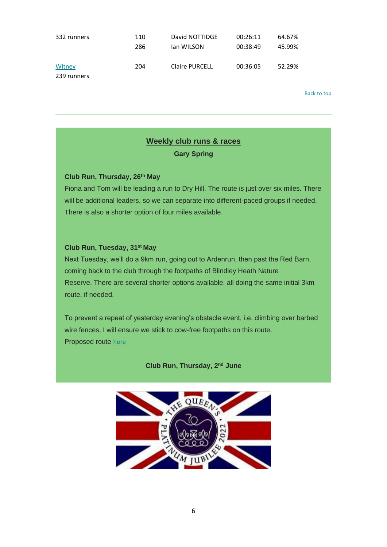| 332 runners           | 110 | David NOTTIDGE        | 00:26:11 | 64.67% |
|-----------------------|-----|-----------------------|----------|--------|
|                       | 286 | lan WILSON            | 00:38:49 | 45.99% |
| Witney<br>239 runners | 204 | <b>Claire PURCELL</b> | 00:36:05 | 52.29% |

[Back to top](#page-0-0)

### **Weekly club runs & races**

**Gary Spring**

#### <span id="page-5-0"></span>**Club Run, Thursday, 26th May**

Fiona and Tom will be leading a run to Dry Hill. The route is just over six miles. There will be additional leaders, so we can separate into different-paced groups if needed. There is also a shorter option of four miles available.

#### **Club Run, Tuesday, 31 st May**

Next Tuesday, we'll do a 9km run, going out to Ardenrun, then past the Red Barn, coming back to the club through the footpaths of Blindley Heath Nature Reserve. There are several shorter options available, all doing the same initial 3km route, if needed.

To prevent a repeat of yesterday evening's obstacle event, i.e. climbing over barbed wire fences, I will ensure we stick to cow-free footpaths on this route. Proposed route [here](https://lingfieldrunningclub.us15.list-manage.com/track/click?u=06ee37595aba77e0e81ded734&id=b74c1d15fe&e=7eacd48f96)

**Club Run, Thursday, 2nd June**

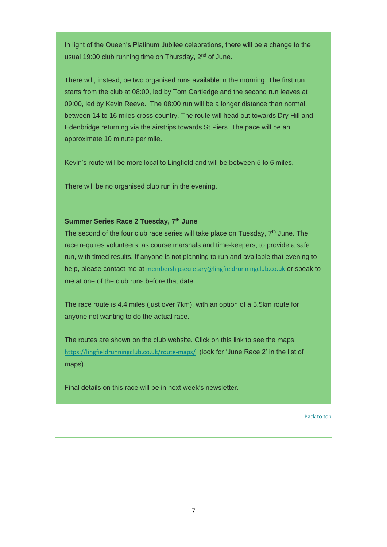In light of the Queen's Platinum Jubilee celebrations, there will be a change to the usual 19:00 club running time on Thursday,  $2<sup>nd</sup>$  of June.

There will, instead, be two organised runs available in the morning. The first run starts from the club at 08:00, led by Tom Cartledge and the second run leaves at 09:00, led by Kevin Reeve. The 08:00 run will be a longer distance than normal, between 14 to 16 miles cross country. The route will head out towards Dry Hill and Edenbridge returning via the airstrips towards St Piers. The pace will be an approximate 10 minute per mile.

Kevin's route will be more local to Lingfield and will be between 5 to 6 miles.

There will be no organised club run in the evening.

#### **Summer Series Race 2 Tuesday, 7th June**

The second of the four club race series will take place on Tuesday,  $7<sup>th</sup>$  June. The race requires volunteers, as course marshals and time-keepers, to provide a safe run, with timed results. If anyone is not planning to run and available that evening to help, please contact me at [membershipsecretary@lingfieldrunningclub.co.uk](mailto:membershipsecretary@lingfieldrunningclub.co.uk) or speak to me at one of the club runs before that date.

The race route is 4.4 miles (just over 7km), with an option of a 5.5km route for anyone not wanting to do the actual race.

The routes are shown on the club website. Click on this link to see the maps. [https://lingfieldrunningclub.co.uk/route-maps/](https://lingfieldrunningclub.us15.list-manage.com/track/click?u=06ee37595aba77e0e81ded734&id=407d44665d&e=7eacd48f96) (look for 'June Race 2' in the list of maps).

Final details on this race will be in next week's newsletter.

[Back to top](#page-0-0)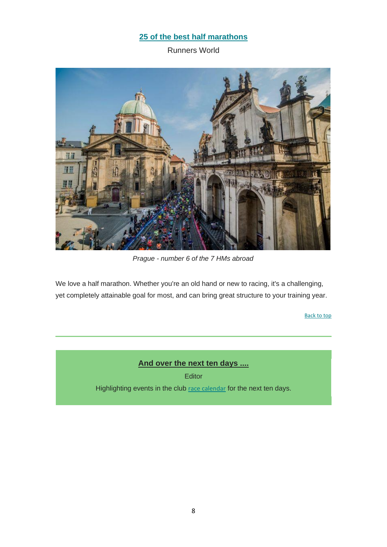## **[25 of the best half marathons](https://lingfieldrunningclub.us15.list-manage.com/track/click?u=06ee37595aba77e0e81ded734&id=43c89947d7&e=7eacd48f96)**

Runners World

<span id="page-7-0"></span>

*Prague - number 6 of the 7 HMs abroad*

We love a half marathon. Whether you're an old hand or new to racing, it's a challenging, yet completely attainable goal for most, and can bring great structure to your training year.

[Back to top](#page-0-0)

**And over the next ten days ....**

Editor

<span id="page-7-1"></span>Highlighting events in the club [race calendar](https://lingfieldrunningclub.us15.list-manage.com/track/click?u=06ee37595aba77e0e81ded734&id=9abb427947&e=7eacd48f96) for the next ten days.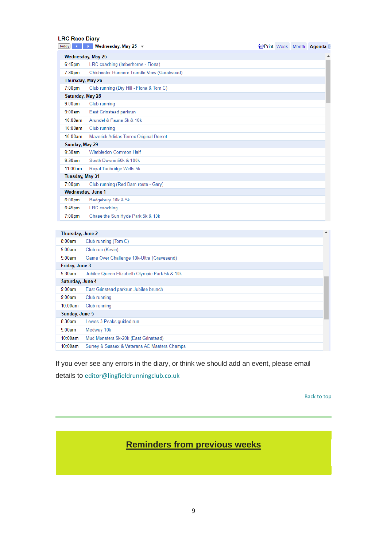#### **LRC Race Diary**

| LIW IWVY PRI Y     |                                            |  |                               |
|--------------------|--------------------------------------------|--|-------------------------------|
| Today              | $\rightarrow$ Wednesday, May 25 $\sim$     |  | <b>form</b> Week Month Agenda |
|                    | Wednesday, May 25                          |  | ▲                             |
| $6:45$ pm          | LRC coaching (Imberhorne - Fiona)          |  |                               |
| 7:30 <sub>pm</sub> | Chichester Runners Trundle View (Goodwood) |  |                               |
| Thursday, May 26   |                                            |  |                               |
| $7:00$ pm          | Club running (Dry Hill - Fiona & Tom C)    |  |                               |
| Saturday, May 28   |                                            |  |                               |
| 9:00am             | Club running                               |  |                               |
| 9:00am             | East Grinstead parkrun                     |  |                               |
| 10:00am            | Arundel & Fauna 5k & 10k                   |  |                               |
| 10:00am            | Club running                               |  |                               |
| 10:00am            | Maverick Adidas Terrex Original Dorset     |  |                               |
| Sunday, May 29     |                                            |  |                               |
| 9:30am             | Wimbledon Common Half                      |  |                               |
| 9:30am             | South Downs 50k & 100k                     |  |                               |
| 11:00am            | Royal Tunbridge Wells 5k                   |  |                               |
| Tuesday, May 31    |                                            |  |                               |
| $7:00$ pm          | Club running (Red Barn route - Gary)       |  |                               |
| Wednesday, June 1  |                                            |  |                               |
| 6:00 <sub>pm</sub> | Bedgebury 10k & 5k                         |  |                               |
| 6:45pm             | <b>LRC</b> coaching                        |  |                               |
| $7:00$ pm          | Chase the Sun Hyde Park 5k & 10k           |  |                               |
|                    |                                            |  |                               |

| Thursday, June 2 |                                               | ▲ |  |
|------------------|-----------------------------------------------|---|--|
| 8:00am           | Club running (Tom C)                          |   |  |
| 9:00am           | Club run (Kevin)                              |   |  |
| 9:00am           | Game Over Challenge 10k-Ultra (Gravesend)     |   |  |
| Friday, June 3   |                                               |   |  |
| $9:30$ am        | Jubilee Queen Elizabeth Olympic Park 5k & 10k |   |  |
| Saturday, June 4 |                                               |   |  |
| 9:00am           | East Grinstead parkrun Jubilee brunch         |   |  |
| 9:00am           | Club running                                  |   |  |
| 10:00am          | Club running                                  |   |  |
| Sunday, June 5   |                                               |   |  |
| 8:30am           | Lewes 3 Peaks guided run                      |   |  |
| 9:00am           | Medway 10k                                    |   |  |
| 10:00am          | Mud Monsters 5k-20k (East Grinstead)          |   |  |
| 10:00am          | Surrey & Sussex & Veterans AC Masters Champs  |   |  |

If you ever see any errors in the diary, or think we should add an event, please email details to [editor@lingfieldrunningclub.co.uk](mailto:editor@lingfieldrunningclub.co.uk)

[Back to top](#page-0-0)

## **Reminders from previous weeks**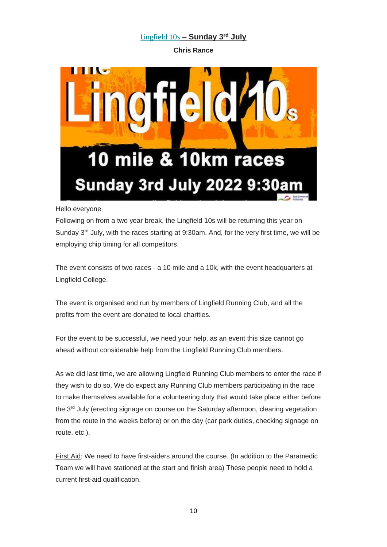## [Lingfield 10s](https://lingfieldrunningclub.us15.list-manage.com/track/click?u=06ee37595aba77e0e81ded734&id=794c14148b&e=7eacd48f96) **– Sunday 3 rd July**

**Chris Rance**

<span id="page-9-0"></span>

#### Hello everyone

Following on from a two year break, the Lingfield 10s will be returning this year on Sunday  $3<sup>rd</sup>$  July, with the races starting at 9:30am. And, for the very first time, we will be employing chip timing for all competitors.

The event consists of two races - a 10 mile and a 10k, with the event headquarters at Lingfield College.

The event is organised and run by members of Lingfield Running Club, and all the profits from the event are donated to local charities.

For the event to be successful, we need your help, as an event this size cannot go ahead without considerable help from the Lingfield Running Club members.

As we did last time, we are allowing Lingfield Running Club members to enter the race if they wish to do so. We do expect any Running Club members participating in the race to make themselves available for a volunteering duty that would take place either before the 3<sup>rd</sup> July (erecting signage on course on the Saturday afternoon, clearing vegetation from the route in the weeks before) or on the day (car park duties, checking signage on route, etc.).

First Aid: We need to have first-aiders around the course. (In addition to the Paramedic Team we will have stationed at the start and finish area) These people need to hold a current first-aid qualification.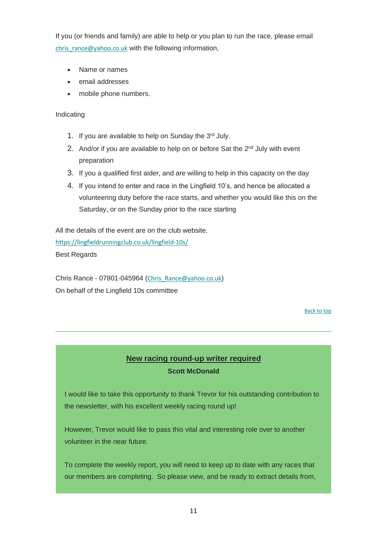If you (or friends and family) are able to help or you plan to run the race, please email [chris\\_rance@yahoo.co.uk](mailto:chris_rance@yahoo.co.uk) with the following information,

- Name or names
- email addresses
- mobile phone numbers.

Indicating

- 1. If you are available to help on Sunday the 3rd July.
- 2. And/or if you are available to help on or before Sat the  $2<sup>nd</sup>$  July with event preparation
- 3. If you a qualified first aider, and are willing to help in this capacity on the day
- 4. If you intend to enter and race in the Lingfield 10's, and hence be allocated a volunteering duty before the race starts, and whether you would like this on the Saturday, or on the Sunday prior to the race starting

All the details of the event are on the club website. [https://lingfieldrunningclub.co.uk/lingfield-10s/](https://lingfieldrunningclub.us15.list-manage.com/track/click?u=06ee37595aba77e0e81ded734&id=a395d4a0cc&e=7eacd48f96) Best Regards

Chris Rance - 07801-045964 ([Chris\\_Rance@yahoo.co.uk](mailto:Chris_Rance@yahoo.co.uk)) On behalf of the Lingfield 10s committee

[Back to top](#page-0-0)

## **New racing round-up writer required Scott McDonald**

<span id="page-10-0"></span>I would like to take this opportunity to thank Trevor for his outstanding contribution to the newsletter, with his excellent weekly racing round up!

However, Trevor would like to pass this vital and interesting role over to another volunteer in the near future.

To complete the weekly report, you will need to keep up to date with any races that our members are completing. So please view, and be ready to extract details from,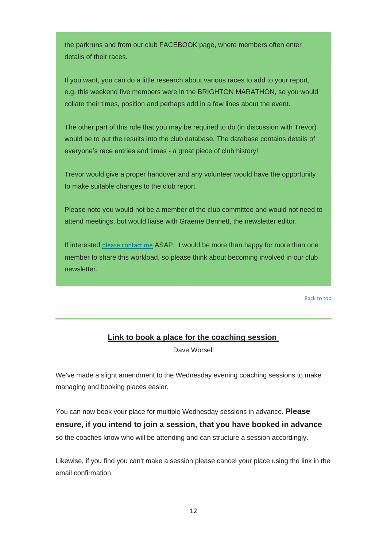the parkruns and from our club FACEBOOK page, where members often enter details of their races.

If you want, you can do a little research about various races to add to your report, e.g. this weekend five members were in the BRIGHTON MARATHON, so you would collate their times, position and perhaps add in a few lines about the event.

The other part of this role that you may be required to do (in discussion with Trevor) would be to put the results into the club database. The database contains details of everyone's race entries and times - a great piece of club history!

Trevor would give a proper handover and any volunteer would have the opportunity to make suitable changes to the club report.

Please note you would not be a member of the club committee and would not need to attend meetings, but would liaise with Graeme Bennett, the newsletter editor.

If interested [please contact me](mailto:chair@lingfieldrunningclub.co.uk) ASAP. I would be more than happy for more than one member to share this workload, so please think about becoming involved in our club newsletter.

[Back to top](#page-0-0)

## **Link to book a place for the coaching session**

Dave Worsell

<span id="page-11-0"></span>We've made a slight amendment to the Wednesday evening coaching sessions to make managing and booking places easier.

You can now book your place for multiple Wednesday sessions in advance. **Please ensure, if you intend to join a session, that you have booked in advance**  so the coaches know who will be attending and can structure a session accordingly.

Likewise, if you find you can't make a session please cancel your place using the link in the email confirmation.